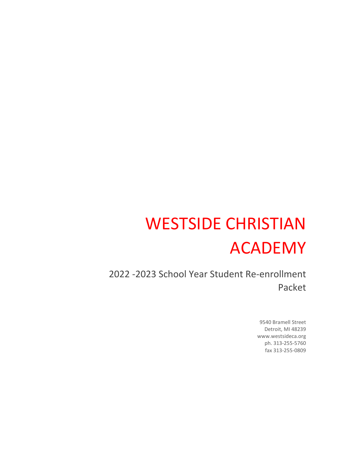# WESTSIDE CHRISTIAN ACADEMY

2022 -2023 School Year Student Re-enrollment Packet

> 9540 Bramell Street Detroit, MI 48239 www.westsideca.org ph. 313-255-5760 fax 313-255-0809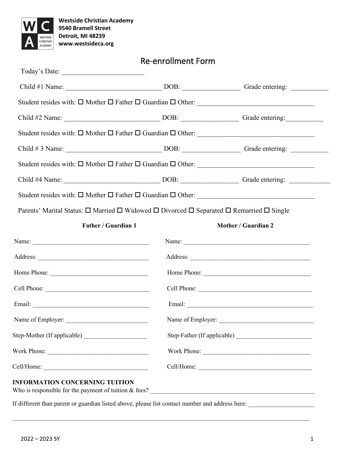

| Parents' Marital Status: □ Married □ Widowed □ Divorced □ Separated □ Remarried □ Single |                                                                                                                                                                                                                                     |  |
|------------------------------------------------------------------------------------------|-------------------------------------------------------------------------------------------------------------------------------------------------------------------------------------------------------------------------------------|--|
| <b>Father / Guardian 1</b>                                                               | Mother / Guardian 2                                                                                                                                                                                                                 |  |
|                                                                                          |                                                                                                                                                                                                                                     |  |
|                                                                                          | Address: <u>Address</u> and the contract of the contract of the contract of the contract of the contract of the contract of the contract of the contract of the contract of the contract of the contract of the contract of the con |  |
|                                                                                          |                                                                                                                                                                                                                                     |  |
| Cell Phone:                                                                              |                                                                                                                                                                                                                                     |  |
|                                                                                          |                                                                                                                                                                                                                                     |  |
| Name of Employer:                                                                        |                                                                                                                                                                                                                                     |  |
|                                                                                          |                                                                                                                                                                                                                                     |  |
|                                                                                          |                                                                                                                                                                                                                                     |  |
| Work Phone:                                                                              | Work Phone:                                                                                                                                                                                                                         |  |

Re-enrollment Form

If different than parent or guardian listed above, please list contact number and address here: \_\_\_\_\_\_\_\_\_\_\_\_\_\_\_\_\_\_\_\_\_

 $\mathcal{L}_\text{max} = \mathcal{L}_\text{max} = \mathcal{L}_\text{max} = \mathcal{L}_\text{max} = \mathcal{L}_\text{max} = \mathcal{L}_\text{max} = \mathcal{L}_\text{max} = \mathcal{L}_\text{max} = \mathcal{L}_\text{max} = \mathcal{L}_\text{max} = \mathcal{L}_\text{max} = \mathcal{L}_\text{max} = \mathcal{L}_\text{max} = \mathcal{L}_\text{max} = \mathcal{L}_\text{max} = \mathcal{L}_\text{max} = \mathcal{L}_\text{max} = \mathcal{L}_\text{max} = \mathcal{$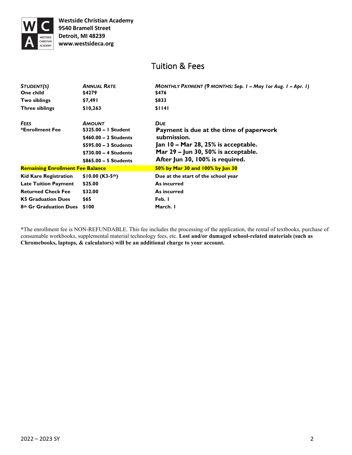

## Tuition & Fees

| <b>ANNUAL RATE</b><br>\$4279            | MONTHLY PAYMENT (9 MONTHS: Sep. 1 - May 1 or Aug. 1 - Apr. 1)<br>\$476 |
|-----------------------------------------|------------------------------------------------------------------------|
| \$7,491                                 | \$833                                                                  |
| \$10,263                                | \$1141                                                                 |
| <b>AMOUNT</b>                           | <b>DUE</b>                                                             |
|                                         | Payment is due at the time of paperwork                                |
|                                         | submission.                                                            |
| \$595.00 - 3 Students                   | Jan 10 – Mar 28, 25% is acceptable.                                    |
| \$730.00 - 4 Students                   | Mar $29$ – Jun 30, 50% is acceptable.                                  |
| \$865.00 - 5 Students                   | After Jun 30, 100% is required.                                        |
| <b>Remaining Enrollment Fee Balance</b> | 50% by Mar 30 and 100% by Jun 30                                       |
| $$10.00 (K3-5th)$                       | Due at the start of the school year                                    |
| \$25.00                                 | As incurred                                                            |
| \$32.00                                 | As incurred                                                            |
| \$65                                    | Feb. I                                                                 |
| \$100                                   | March. I                                                               |
|                                         | \$325.00 - I Student<br>$$460.00 - 2$ Students                         |

**\***The enrollment fee is NON-REFUNDABLE. This fee includes the processing of the application, the rental of textbooks, purchase of consumable workbooks, supplemental material technology fees, etc. **Lost and/or damaged school-related materials (such as Chromebooks, laptops, & calculators) will be an additional charge to your account.**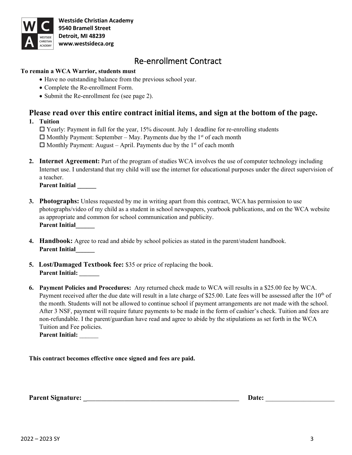

**Westside Christian Academy 9540 Bramell Street Detroit, MI 48239 www.westsideca.org**

## Re-enrollment Contract

### **To remain a WCA Warrior, students must**

- Have no outstanding balance from the previous school year.
- Complete the Re-enrollment Form.
- Submit the Re-enrollment fee (see page 2).

## **Please read over this entire contract initial items, and sign at the bottom of the page.**

**1. Tuition**

 $\Box$  Yearly: Payment in full for the year, 15% discount. July 1 deadline for re-enrolling students  $\Box$  Monthly Payment: September – May. Payments due by the 1<sup>st</sup> of each month  $\Box$  Monthly Payment: August – April. Payments due by the 1<sup>st</sup> of each month

**2. Internet Agreement:** Part of the program of studies WCA involves the use of computer technology including Internet use. I understand that my child will use the internet for educational purposes under the direct supervision of a teacher.

**Parent Initial \_\_\_\_\_\_**

- **3. Photographs:** Unless requested by me in writing apart from this contract, WCA has permission to use photographs/video of my child as a student in school newspapers, yearbook publications, and on the WCA website as appropriate and common for school communication and publicity. **Parent Initial\_\_\_\_\_\_**
- **4. Handbook:** Agree to read and abide by school policies as stated in the parent/student handbook. **Parent Initial\_\_\_\_\_\_**
- **5. Lost/Damaged Textbook fee:** \$35 or price of replacing the book. **Parent Initial: \_\_\_\_\_\_\_**
- **6. Payment Policies and Procedures:** Any returned check made to WCA will results in a \$25.00 fee by WCA. Payment received after the due date will result in a late charge of \$25.00. Late fees will be assessed after the  $10<sup>th</sup>$  of the month. Students will not be allowed to continue school if payment arrangements are not made with the school. After 3 NSF, payment will require future payments to be made in the form of cashier's check. Tuition and fees are non-refundable. I the parent/guardian have read and agree to abide by the stipulations as set forth in the WCA Tuition and Fee policies.

**Parent Initial:** \_\_\_\_\_\_

**This contract becomes effective once signed and fees are paid.** 

**Parent Signature:** Date: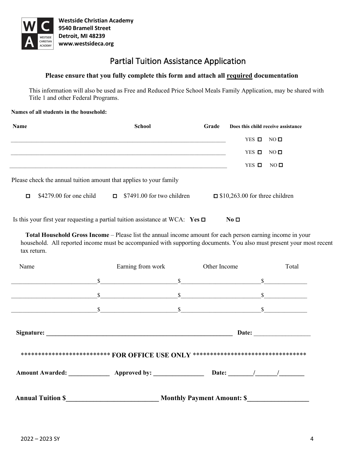

## Partial Tuition Assistance Application

#### **Please ensure that you fully complete this form and attach all required documentation**

This information will also be used as Free and Reduced Price School Meals Family Application, may be shared with Title 1 and other Federal Programs.

#### **Names of all students in the household:**

| <b>Name</b> |                          | <b>School</b>                                                      | Grade | Does this child receive assistance    |
|-------------|--------------------------|--------------------------------------------------------------------|-------|---------------------------------------|
|             |                          |                                                                    |       | YES $\Box$<br>$NO$ $\square$          |
|             |                          |                                                                    |       | YES $\Box$<br>$NO$ $\square$          |
|             |                          |                                                                    |       | $YES$ $\Box$<br>NO <sub>0</sub>       |
|             |                          | Please check the annual tuition amount that applies to your family |       |                                       |
| $\Box$      | $$4279.00$ for one child | $\Box$ \$7491.00 for two children                                  |       | $\Box$ \$10,263.00 for three children |
|             |                          |                                                                    |       |                                       |

Is this your first year requesting a partial tuition assistance at WCA:  $\text{Yes } \Box$  No  $\Box$ 

 **Total Household Gross Income** – Please list the annual income amount for each person earning income in your household. All reported income must be accompanied with supporting documents. You also must present your most recent tax return.

| Name                     | Earning from work                                                                                                                                                                                                                                                                                                       | Other Income                      | Total        |
|--------------------------|-------------------------------------------------------------------------------------------------------------------------------------------------------------------------------------------------------------------------------------------------------------------------------------------------------------------------|-----------------------------------|--------------|
|                          | \$                                                                                                                                                                                                                                                                                                                      | $\mathbb{S}$                      | \$           |
|                          | \$                                                                                                                                                                                                                                                                                                                      | $\mathbb{S}$                      | \$           |
|                          | $\sim$ $\sim$                                                                                                                                                                                                                                                                                                           |                                   | $\mathbb{S}$ |
|                          | Signature: National Communication of the Communication of the Communication of the Communication of the Communication of the Communication of the Communication of the Communication of the Communication of the Communication<br>****************************** FOR OFFICE USE ONLY ********************************** |                                   |              |
|                          |                                                                                                                                                                                                                                                                                                                         |                                   |              |
| <b>Annual Tuition \$</b> |                                                                                                                                                                                                                                                                                                                         | <b>Monthly Payment Amount: \$</b> |              |